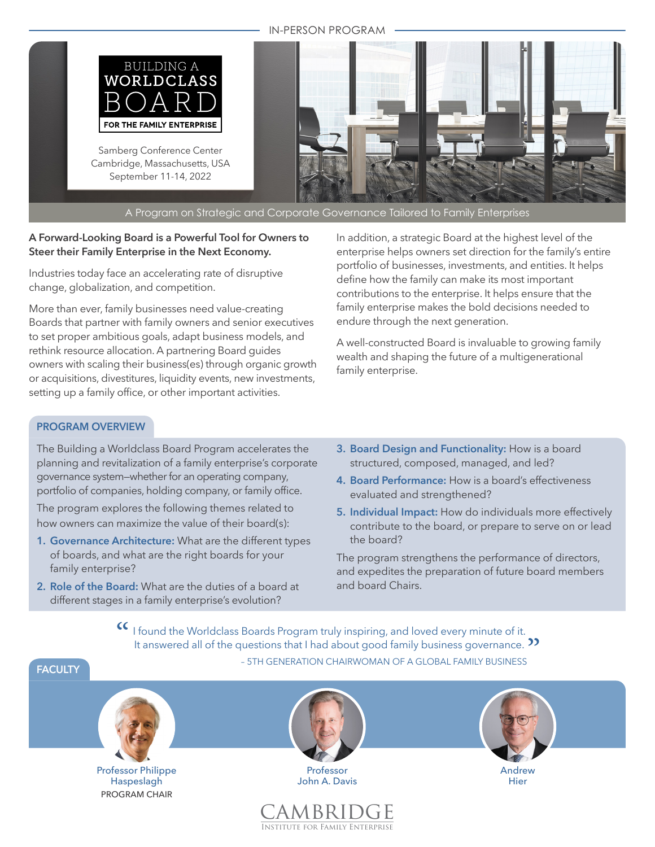#### IN-PERSON PROGRAM



# **A Forward-Looking Board is a Powerful Tool for Owners to Steer their Family Enterprise in the Next Economy.**

Industries today face an accelerating rate of disruptive change, globalization, and competition.

More than ever, family businesses need value-creating Boards that partner with family owners and senior executives to set proper ambitious goals, adapt business models, and rethink resource allocation. A partnering Board guides owners with scaling their business(es) through organic growth or acquisitions, divestitures, liquidity events, new investments, setting up a family office, or other important activities.

In addition, a strategic Board at the highest level of the enterprise helps owners set direction for the family's entire portfolio of businesses, investments, and entities. It helps define how the family can make its most important contributions to the enterprise. It helps ensure that the family enterprise makes the bold decisions needed to endure through the next generation.

A well-constructed Board is invaluable to growing family wealth and shaping the future of a multigenerational family enterprise.

# **PROGRAM OVERVIEW**

The Building a Worldclass Board Program accelerates the planning and revitalization of a family enterprise's corporate governance system—whether for an operating company, portfolio of companies, holding company, or family office.

The program explores the following themes related to how owners can maximize the value of their board(s):

- **1. Governance Architecture:** What are the different types of boards, and what are the right boards for your family enterprise?
- **2. Role of the Board:** What are the duties of a board at different stages in a family enterprise's evolution?
- **3. Board Design and Functionality:** How is a board structured, composed, managed, and led?
- **4. Board Performance:** How is a board's effectiveness evaluated and strengthened?
- **5. Individual Impact:** How do individuals more effectively contribute to the board, or prepare to serve on or lead the board?

The program strengthens the performance of directors, and expedites the preparation of future board members and board Chairs.

CC I found the Worldclass Boards Program truly inspiring, and loved every minute of it.<br>It answered all of the questions that I had about good family business governance. I found the Worldclass Boards Program truly inspiring, and loved every minute of it.<br>It answered all of the questions that I had about good family business governance. **>>** – 5TH GENERATION CHAIRWOMAN OF A GLOBAL FAMILY BUSINESS



Institute for Family Enterprise